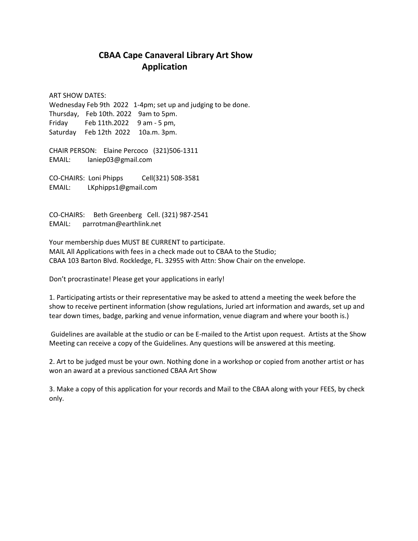## **CBAA Cape Canaveral Library Art Show Application**

ART SHOW DATES: Wednesday Feb 9th 2022 1-4pm; set up and judging to be done. Thursday, Feb 10th. 2022 9am to 5pm. Friday Feb 11th.2022 9 am - 5 pm, Saturday Feb 12th 2022 10a.m. 3pm.

CHAIR PERSON: Elaine Percoco (321)506-1311 EMAIL: laniep03@gmail.com

CO-CHAIRS: Loni Phipps Cell(321) 508-3581 EMAIL: LKphipps1@gmail.com

CO-CHAIRS: Beth Greenberg Cell. (321) 987-2541 EMAIL: parrotman@earthlink.net

Your membership dues MUST BE CURRENT to participate. MAIL All Applications with fees in a check made out to CBAA to the Studio; CBAA 103 Barton Blvd. Rockledge, FL. 32955 with Attn: Show Chair on the envelope.

Don't procrastinate! Please get your applications in early!

1. Participating artists or their representative may be asked to attend a meeting the week before the show to receive pertinent information (show regulations, Juried art information and awards, set up and tear down times, badge, parking and venue information, venue diagram and where your booth is.)

Guidelines are available at the studio or can be E-mailed to the Artist upon request. Artists at the Show Meeting can receive a copy of the Guidelines. Any questions will be answered at this meeting.

2. Art to be judged must be your own. Nothing done in a workshop or copied from another artist or has won an award at a previous sanctioned CBAA Art Show

3. Make a copy of this application for your records and Mail to the CBAA along with your FEES, by check only.